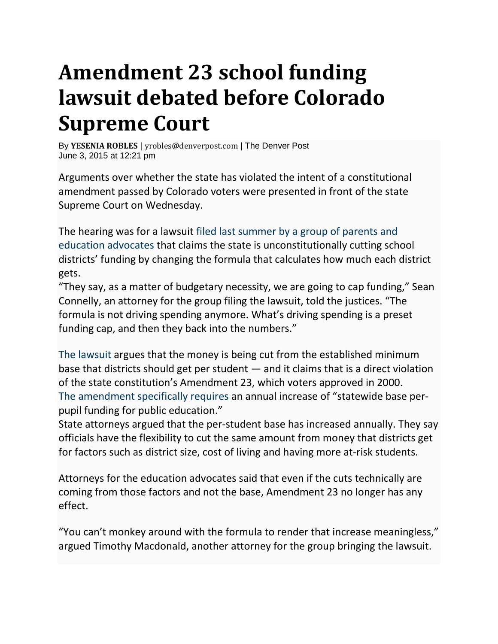## **Amendment 23 school funding lawsuit debated before Colorado Supreme Court**

By **[YESENIA](https://www.denverpost.com/author/yesenia-robles/) ROBLES** | [yrobles@denverpost.com](mailto:yrobles@denverpost.com) | The Denver Post June 3, 2015 at 12:21 pm

Arguments over whether the state has violated the intent of a constitutional amendment passed by Colorado voters were presented in front of the state Supreme Court on Wednesday.

The hearing was for a lawsuit filed last [summer](http://www.denverpost.com/news/ci_26046666/group-files-suit-against-colorado-over-school-funding) by a group of parents and education [advocates](http://www.denverpost.com/news/ci_26046666/group-files-suit-against-colorado-over-school-funding) that claims the state is unconstitutionally cutting school districts' funding by changing the formula that calculates how much each district gets.

"They say, as a matter of budgetary necessity, we are going to cap funding," Sean Connelly, an attorney for the group filing the lawsuit, told the justices. "The formula is not driving spending anymore. What's driving spending is a preset funding cap, and then they back into the numbers."

The [lawsuit](http://extras.mnginteractive.com/live/media/site36/2014/0627/20140627_040355_Dwyer%20-%20FINAL%20Complaint%206.26.pdf) argues that the money is being cut from the established minimum base that districts should get per student — and it claims that is a direct violation of the state constitution's Amendment 23, which voters approved in 2000. The [amendment](http://www.denverpost.com/news/ci_26924985/denver-judge-rejects-colorado-motion-dismiss-school-finance) specifically requires an annual increase of "statewide base perpupil funding for public education."

State attorneys argued that the per-student base has increased annually. They say officials have the flexibility to cut the same amount from money that districts get for factors such as district size, cost of living and having more at-risk students.

Attorneys for the education advocates said that even if the cuts technically are coming from those factors and not the base, Amendment 23 no longer has any effect.

"You can't monkey around with the formula to render that increase meaningless," argued Timothy Macdonald, another attorney for the group bringing the lawsuit.